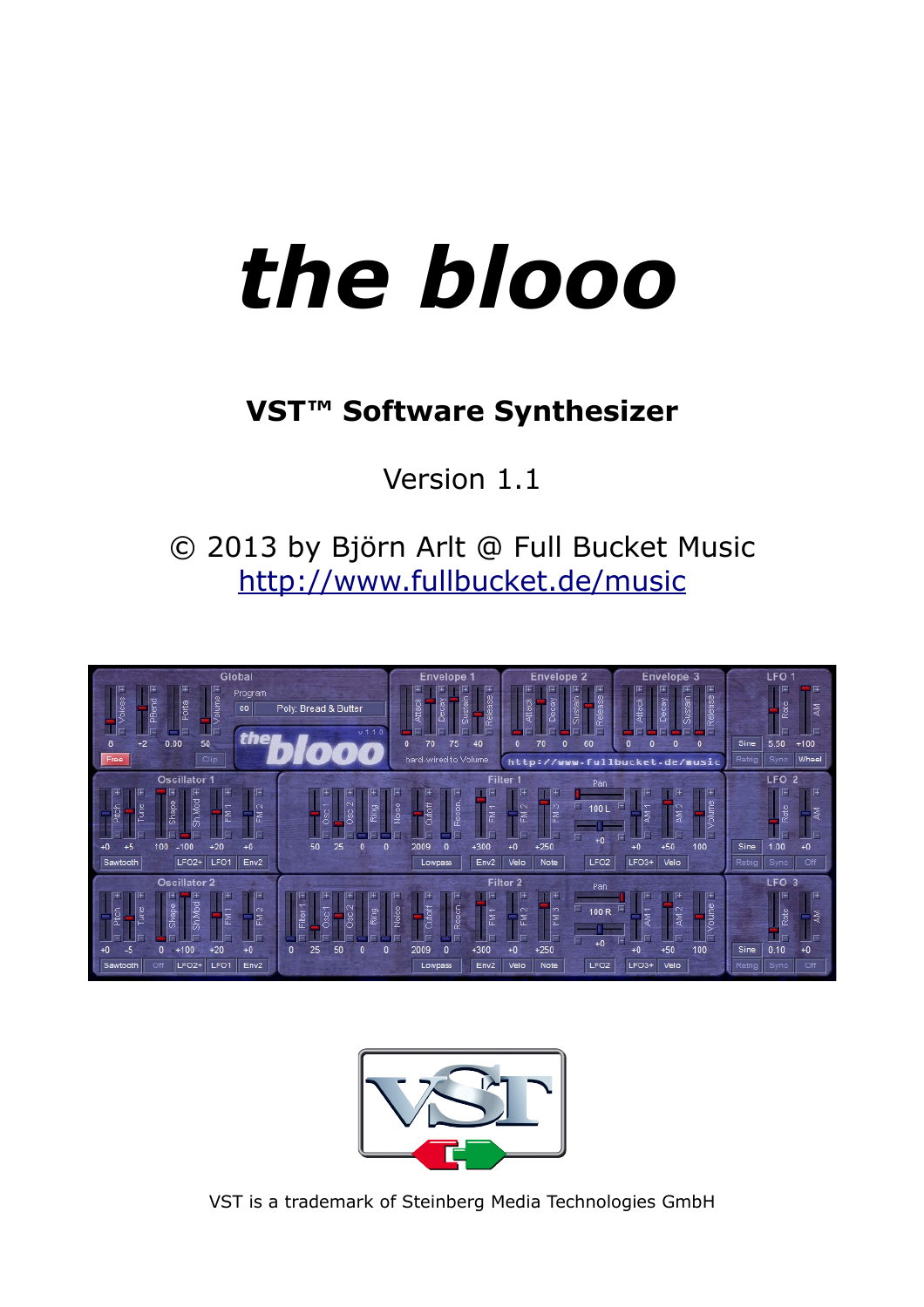# *the blooo*

# **VST™ Software Synthesizer**

Version 1.1

© 2013 by Björn Arlt @ Full Bucket Music <http://www.fullbucket.de/music>





VST is a trademark of Steinberg Media Technologies GmbH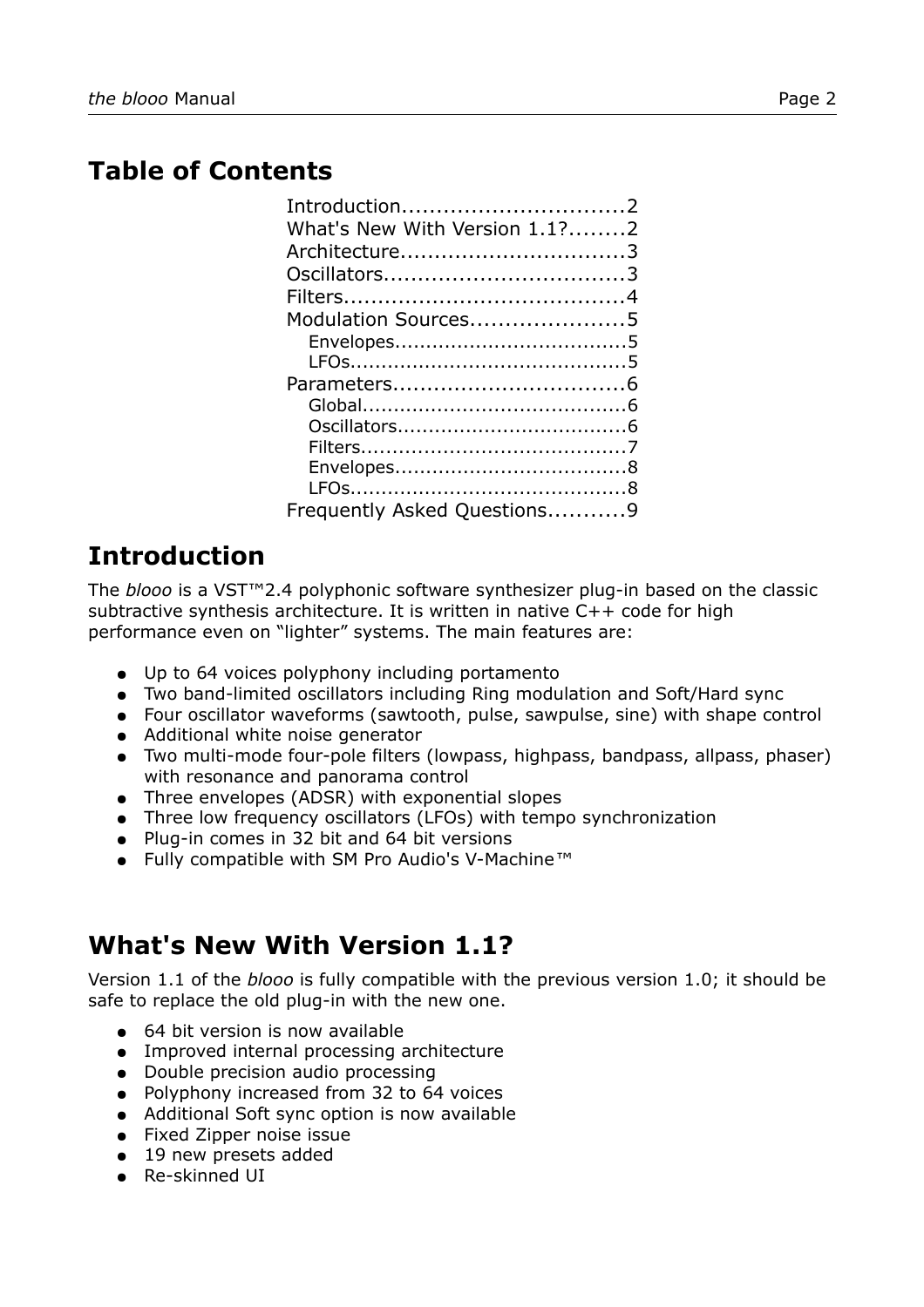## **Table of Contents**

| Introduction2<br>What's New With Version 1.1?2 |  |
|------------------------------------------------|--|
| Architecture3                                  |  |
|                                                |  |
|                                                |  |
| Modulation Sources5                            |  |
|                                                |  |
|                                                |  |
|                                                |  |
|                                                |  |
|                                                |  |
|                                                |  |
|                                                |  |
|                                                |  |
| Frequently Asked Questions9                    |  |
|                                                |  |

# **Introduction**

The *blooo* is a VST™2.4 polyphonic software synthesizer plug-in based on the classic subtractive synthesis architecture. It is written in native C++ code for high performance even on "lighter" systems. The main features are:

- Up to 64 voices polyphony including portamento
- Two band-limited oscillators including Ring modulation and Soft/Hard sync
- Four oscillator waveforms (sawtooth, pulse, sawpulse, sine) with shape control
- Additional white noise generator
- Two multi-mode four-pole filters (lowpass, highpass, bandpass, allpass, phaser) with resonance and panorama control
- Three envelopes (ADSR) with exponential slopes
- Three low frequency oscillators (LFOs) with tempo synchronization
- Plug-in comes in 32 bit and 64 bit versions
- Fully compatible with SM Pro Audio's V-Machine*™*

# **What's New With Version 1.1?**

Version 1.1 of the *blooo* is fully compatible with the previous version 1.0; it should be safe to replace the old plug-in with the new one.

- 64 bit version is now available
- Improved internal processing architecture
- Double precision audio processing
- Polyphony increased from 32 to 64 voices
- Additional Soft sync option is now available
- Fixed Zipper noise issue
- 19 new presets added
- Re-skinned UI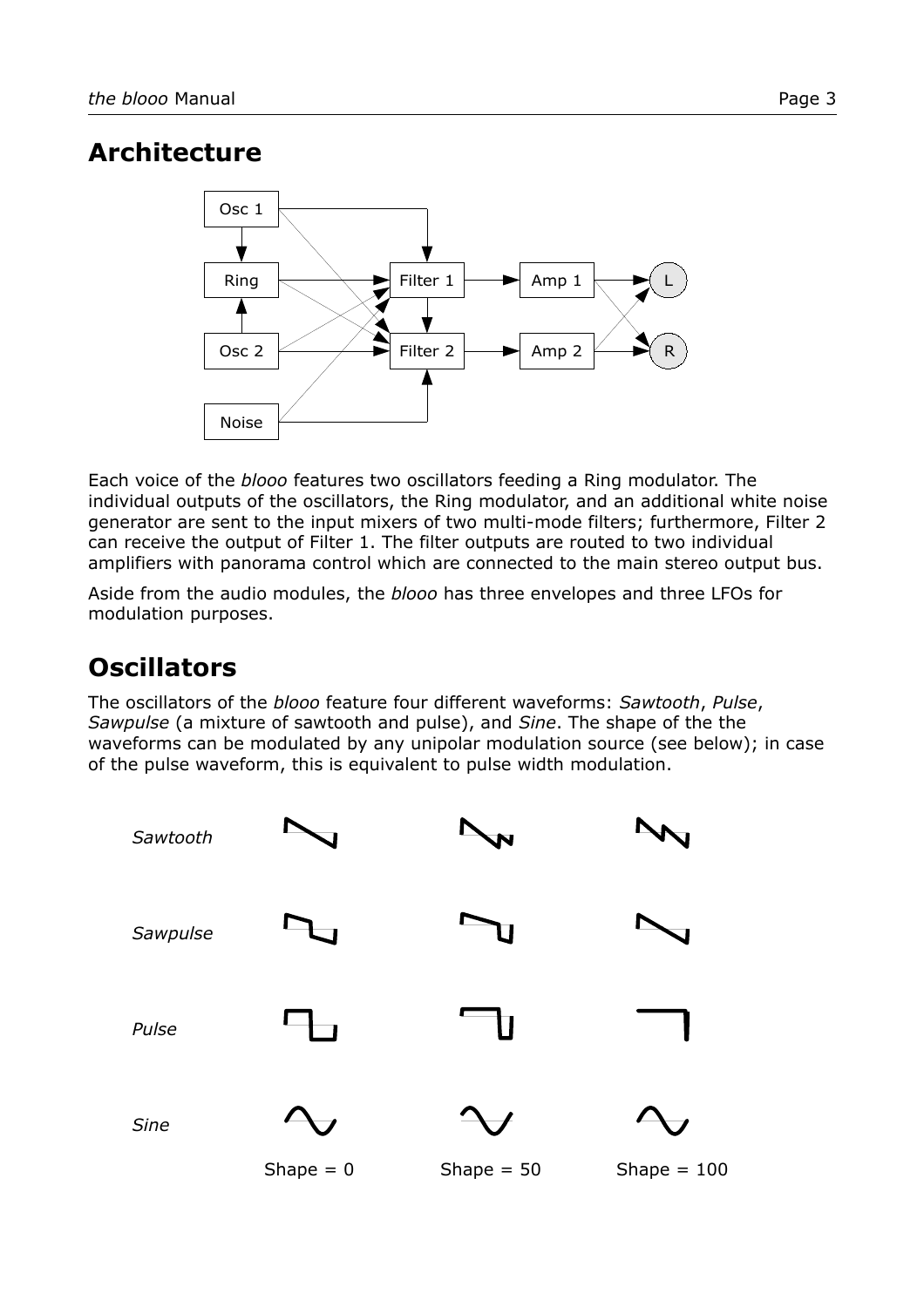## **Architecture**



Each voice of the *blooo* features two oscillators feeding a Ring modulator. The individual outputs of the oscillators, the Ring modulator, and an additional white noise generator are sent to the input mixers of two multi-mode filters; furthermore, Filter 2 can receive the output of Filter 1. The filter outputs are routed to two individual amplifiers with panorama control which are connected to the main stereo output bus.

Aside from the audio modules, the *blooo* has three envelopes and three LFOs for modulation purposes.

# **Oscillators**

The oscillators of the *blooo* feature four different waveforms: *Sawtooth*, *Pulse*, *Sawpulse* (a mixture of sawtooth and pulse), and *Sine*. The shape of the the waveforms can be modulated by any unipolar modulation source (see below); in case of the pulse waveform, this is equivalent to pulse width modulation.

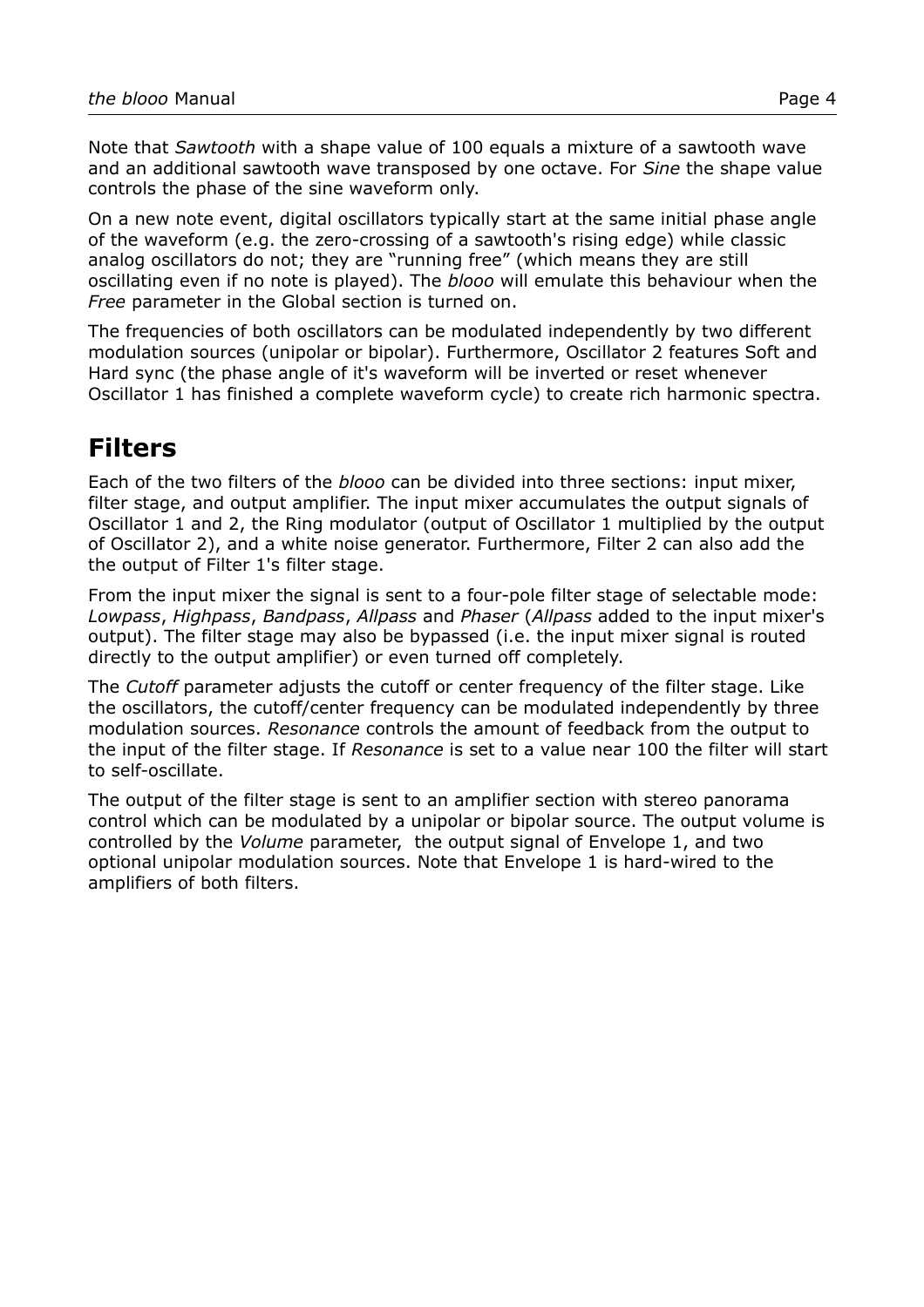Note that *Sawtooth* with a shape value of 100 equals a mixture of a sawtooth wave and an additional sawtooth wave transposed by one octave. For *Sine* the shape value controls the phase of the sine waveform only.

On a new note event, digital oscillators typically start at the same initial phase angle of the waveform (e.g. the zero-crossing of a sawtooth's rising edge) while classic analog oscillators do not; they are "running free" (which means they are still oscillating even if no note is played). The *blooo* will emulate this behaviour when the *Free* parameter in the Global section is turned on.

The frequencies of both oscillators can be modulated independently by two different modulation sources (unipolar or bipolar). Furthermore, Oscillator 2 features Soft and Hard sync (the phase angle of it's waveform will be inverted or reset whenever Oscillator 1 has finished a complete waveform cycle) to create rich harmonic spectra.

## **Filters**

Each of the two filters of the *blooo* can be divided into three sections: input mixer, filter stage, and output amplifier. The input mixer accumulates the output signals of Oscillator 1 and 2, the Ring modulator (output of Oscillator 1 multiplied by the output of Oscillator 2), and a white noise generator. Furthermore, Filter 2 can also add the the output of Filter 1's filter stage.

From the input mixer the signal is sent to a four-pole filter stage of selectable mode: *Lowpass*, *Highpass*, *Bandpass*, *Allpass* and *Phaser* (*Allpass* added to the input mixer's output). The filter stage may also be bypassed (i.e. the input mixer signal is routed directly to the output amplifier) or even turned off completely.

The *Cutoff* parameter adjusts the cutoff or center frequency of the filter stage. Like the oscillators, the cutoff/center frequency can be modulated independently by three modulation sources. *Resonance* controls the amount of feedback from the output to the input of the filter stage. If *Resonance* is set to a value near 100 the filter will start to self-oscillate.

The output of the filter stage is sent to an amplifier section with stereo panorama control which can be modulated by a unipolar or bipolar source. The output volume is controlled by the *Volume* parameter, the output signal of Envelope 1, and two optional unipolar modulation sources. Note that Envelope 1 is hard-wired to the amplifiers of both filters.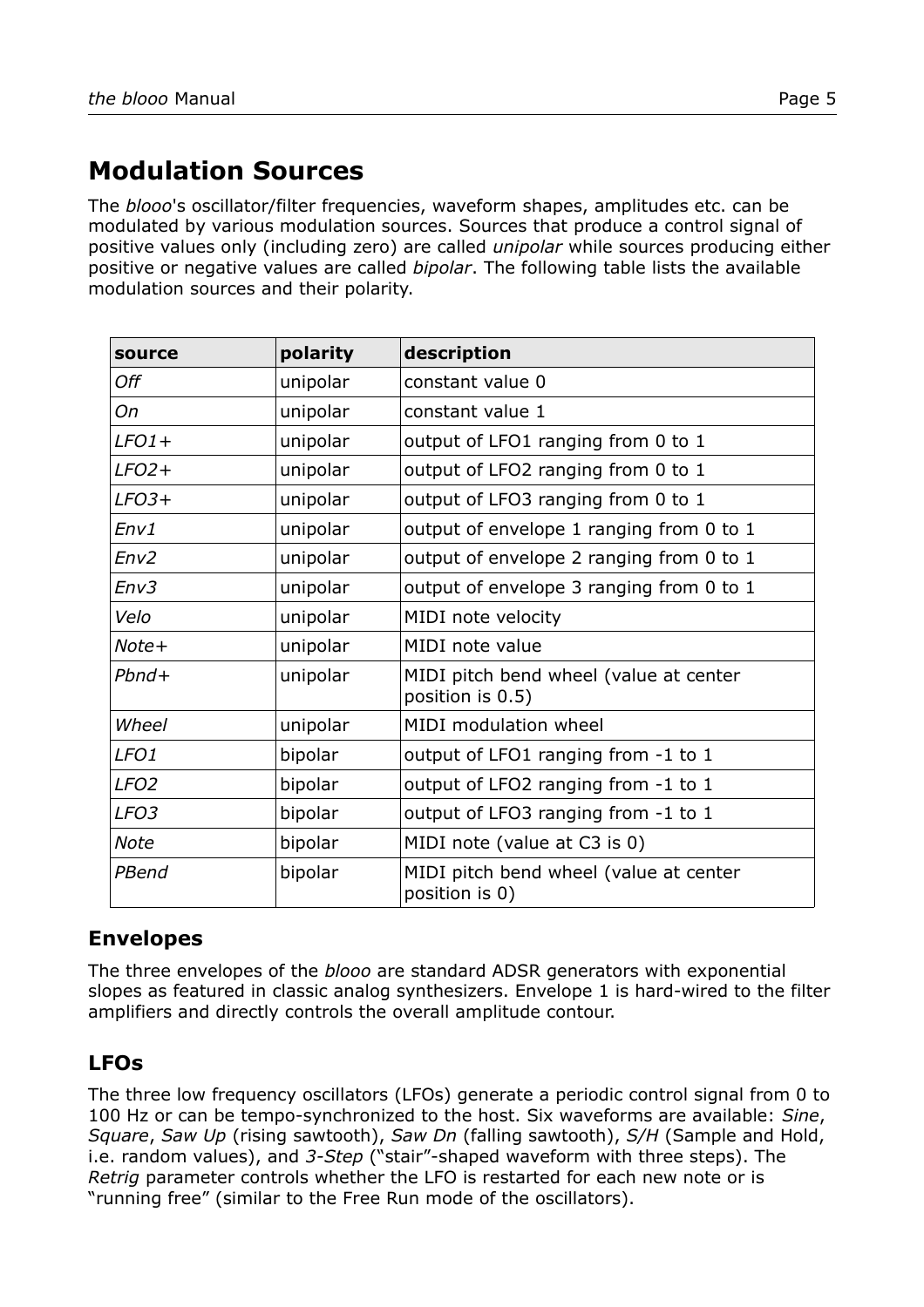# **Modulation Sources**

The *blooo*'s oscillator/filter frequencies, waveform shapes, amplitudes etc. can be modulated by various modulation sources. Sources that produce a control signal of positive values only (including zero) are called *unipolar* while sources producing either positive or negative values are called *bipolar*. The following table lists the available modulation sources and their polarity.

| source           | polarity | description                                                |
|------------------|----------|------------------------------------------------------------|
| Off              | unipolar | constant value 0                                           |
| Оn               | unipolar | constant value 1                                           |
| $LFO1+$          | unipolar | output of LFO1 ranging from 0 to 1                         |
| $LFO2+$          | unipolar | output of LFO2 ranging from 0 to 1                         |
| $LFO3+$          | unipolar | output of LFO3 ranging from 0 to 1                         |
| Env1             | unipolar | output of envelope 1 ranging from 0 to 1                   |
| Env2             | unipolar | output of envelope 2 ranging from 0 to 1                   |
| Env3             | unipolar | output of envelope 3 ranging from 0 to 1                   |
| Velo             | unipolar | MIDI note velocity                                         |
| Note+            | unipolar | MIDI note value                                            |
| $Pbnd+$          | unipolar | MIDI pitch bend wheel (value at center<br>position is 0.5) |
| Wheel            | unipolar | MIDI modulation wheel                                      |
| LFO <sub>1</sub> | bipolar  | output of LFO1 ranging from -1 to 1                        |
| LFO <sub>2</sub> | bipolar  | output of LFO2 ranging from -1 to 1                        |
| LFO <sub>3</sub> | bipolar  | output of LFO3 ranging from -1 to 1                        |
| <b>Note</b>      | bipolar  | MIDI note (value at C3 is 0)                               |
| PBend            | bipolar  | MIDI pitch bend wheel (value at center<br>position is 0)   |

#### **Envelopes**

The three envelopes of the *blooo* are standard ADSR generators with exponential slopes as featured in classic analog synthesizers. Envelope 1 is hard-wired to the filter amplifiers and directly controls the overall amplitude contour.

#### **LFOs**

The three low frequency oscillators (LFOs) generate a periodic control signal from 0 to 100 Hz or can be tempo-synchronized to the host. Six waveforms are available: *Sine*, *Square*, *Saw Up* (rising sawtooth), *Saw Dn* (falling sawtooth), *S/H* (Sample and Hold, i.e. random values), and *3-Step* ("stair"-shaped waveform with three steps). The *Retrig* parameter controls whether the LFO is restarted for each new note or is "running free" (similar to the Free Run mode of the oscillators).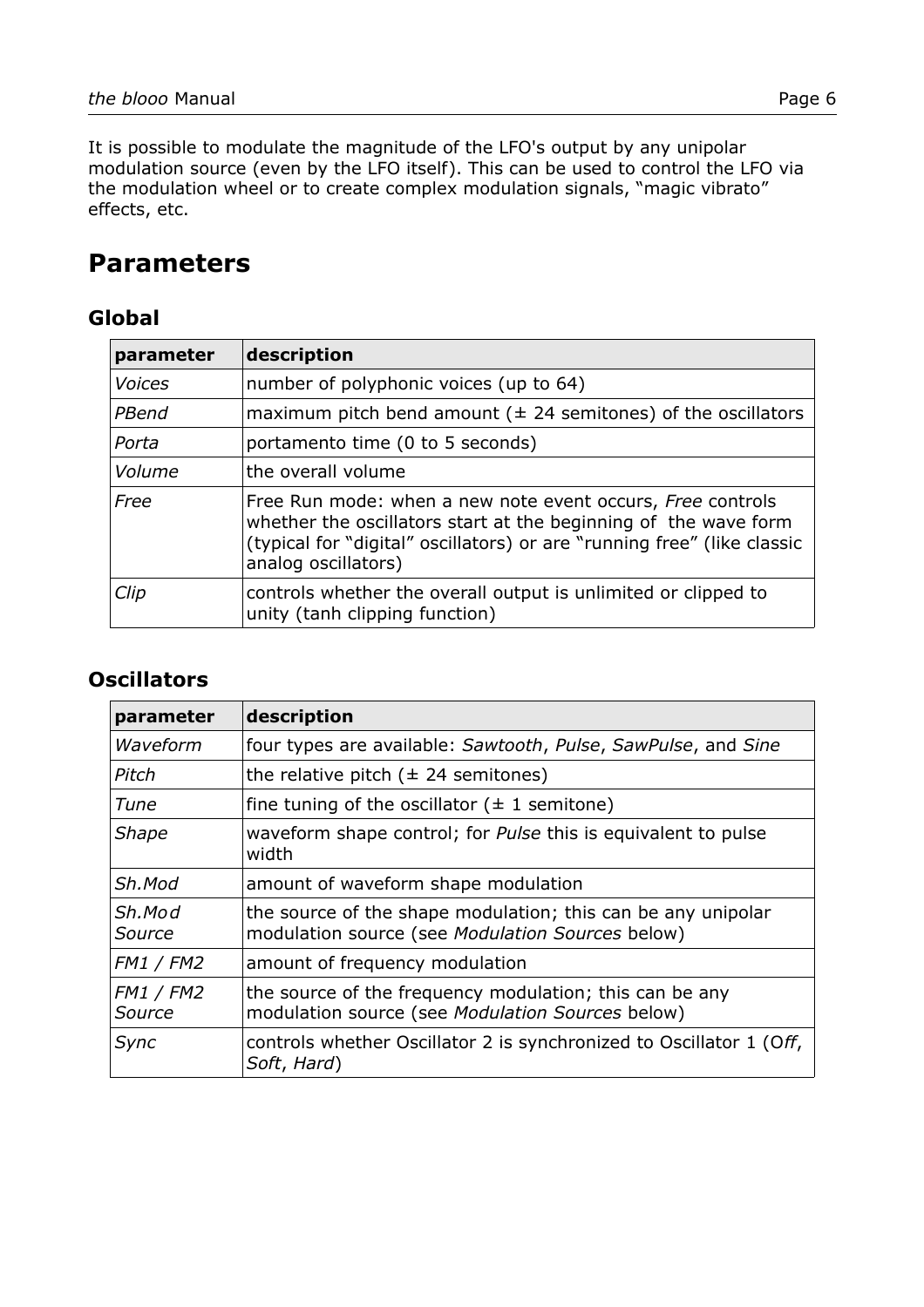It is possible to modulate the magnitude of the LFO's output by any unipolar modulation source (even by the LFO itself). This can be used to control the LFO via the modulation wheel or to create complex modulation signals, "magic vibrato" effects, etc.

## **Parameters**

#### **Global**

| parameter     | description                                                                                                                                                                                                                     |
|---------------|---------------------------------------------------------------------------------------------------------------------------------------------------------------------------------------------------------------------------------|
| <b>Voices</b> | number of polyphonic voices (up to 64)                                                                                                                                                                                          |
| PBend         | maximum pitch bend amount ( $\pm$ 24 semitones) of the oscillators                                                                                                                                                              |
| Porta         | portamento time (0 to 5 seconds)                                                                                                                                                                                                |
| Volume        | the overall volume                                                                                                                                                                                                              |
| Free          | Free Run mode: when a new note event occurs, Free controls<br>whether the oscillators start at the beginning of the wave form<br>(typical for "digital" oscillators) or are "running free" (like classic<br>analog oscillators) |
| Clip          | controls whether the overall output is unlimited or clipped to<br>unity (tanh clipping function)                                                                                                                                |

#### **Oscillators**

| parameter                  | description                                                                                                      |
|----------------------------|------------------------------------------------------------------------------------------------------------------|
| Waveform                   | four types are available: Sawtooth, Pulse, SawPulse, and Sine                                                    |
| Pitch                      | the relative pitch $(\pm 24$ semitones)                                                                          |
| Tune                       | fine tuning of the oscillator $(\pm 1)$ semitone)                                                                |
| <b>Shape</b>               | waveform shape control; for <i>Pulse</i> this is equivalent to pulse<br>width                                    |
| Sh.Mod                     | amount of waveform shape modulation                                                                              |
| Sh.Mod<br><i>Source</i>    | the source of the shape modulation; this can be any unipolar<br>modulation source (see Modulation Sources below) |
| <b>FM1 / FM2</b>           | amount of frequency modulation                                                                                   |
| <b>FM1 / FM2</b><br>Source | the source of the frequency modulation; this can be any<br>modulation source (see Modulation Sources below)      |
| Sync                       | controls whether Oscillator 2 is synchronized to Oscillator 1 (Off,<br>Soft, Hard)                               |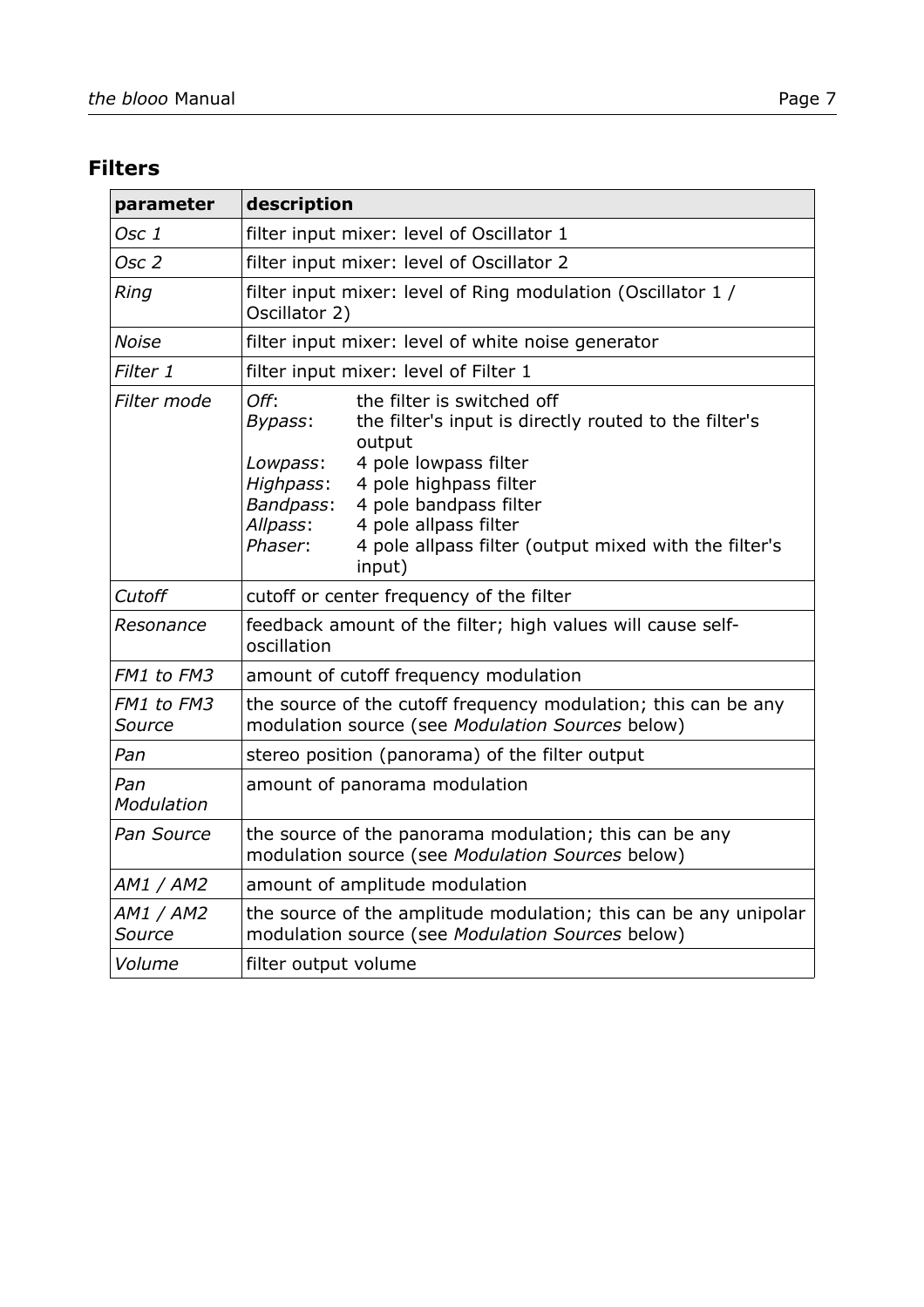#### **Filters**

| parameter            | description                                                                                                                                                                                                                                                                                                                                            |
|----------------------|--------------------------------------------------------------------------------------------------------------------------------------------------------------------------------------------------------------------------------------------------------------------------------------------------------------------------------------------------------|
| Osc 1                | filter input mixer: level of Oscillator 1                                                                                                                                                                                                                                                                                                              |
| Osc 2                | filter input mixer: level of Oscillator 2                                                                                                                                                                                                                                                                                                              |
| Ring                 | filter input mixer: level of Ring modulation (Oscillator 1 /<br>Oscillator 2)                                                                                                                                                                                                                                                                          |
| <b>Noise</b>         | filter input mixer: level of white noise generator                                                                                                                                                                                                                                                                                                     |
| Filter 1             | filter input mixer: level of Filter 1                                                                                                                                                                                                                                                                                                                  |
| Filter mode          | Off:<br>the filter is switched off<br>the filter's input is directly routed to the filter's<br>Bypass:<br>output<br>4 pole lowpass filter<br>Lowpass:<br>4 pole highpass filter<br>Highpass:<br>Bandpass:<br>4 pole bandpass filter<br>Allpass:<br>4 pole allpass filter<br>Phaser:<br>4 pole allpass filter (output mixed with the filter's<br>input) |
| Cutoff               | cutoff or center frequency of the filter                                                                                                                                                                                                                                                                                                               |
| Resonance            | feedback amount of the filter; high values will cause self-<br>oscillation                                                                                                                                                                                                                                                                             |
| FM1 to FM3           | amount of cutoff frequency modulation                                                                                                                                                                                                                                                                                                                  |
| FM1 to FM3<br>Source | the source of the cutoff frequency modulation; this can be any<br>modulation source (see Modulation Sources below)                                                                                                                                                                                                                                     |
| Pan                  | stereo position (panorama) of the filter output                                                                                                                                                                                                                                                                                                        |
| Pan<br>Modulation    | amount of panorama modulation                                                                                                                                                                                                                                                                                                                          |
| Pan Source           | the source of the panorama modulation; this can be any<br>modulation source (see Modulation Sources below)                                                                                                                                                                                                                                             |
| AM1 / AM2            | amount of amplitude modulation                                                                                                                                                                                                                                                                                                                         |
| AM1 / AM2<br>Source  | the source of the amplitude modulation; this can be any unipolar<br>modulation source (see Modulation Sources below)                                                                                                                                                                                                                                   |
| Volume               | filter output volume                                                                                                                                                                                                                                                                                                                                   |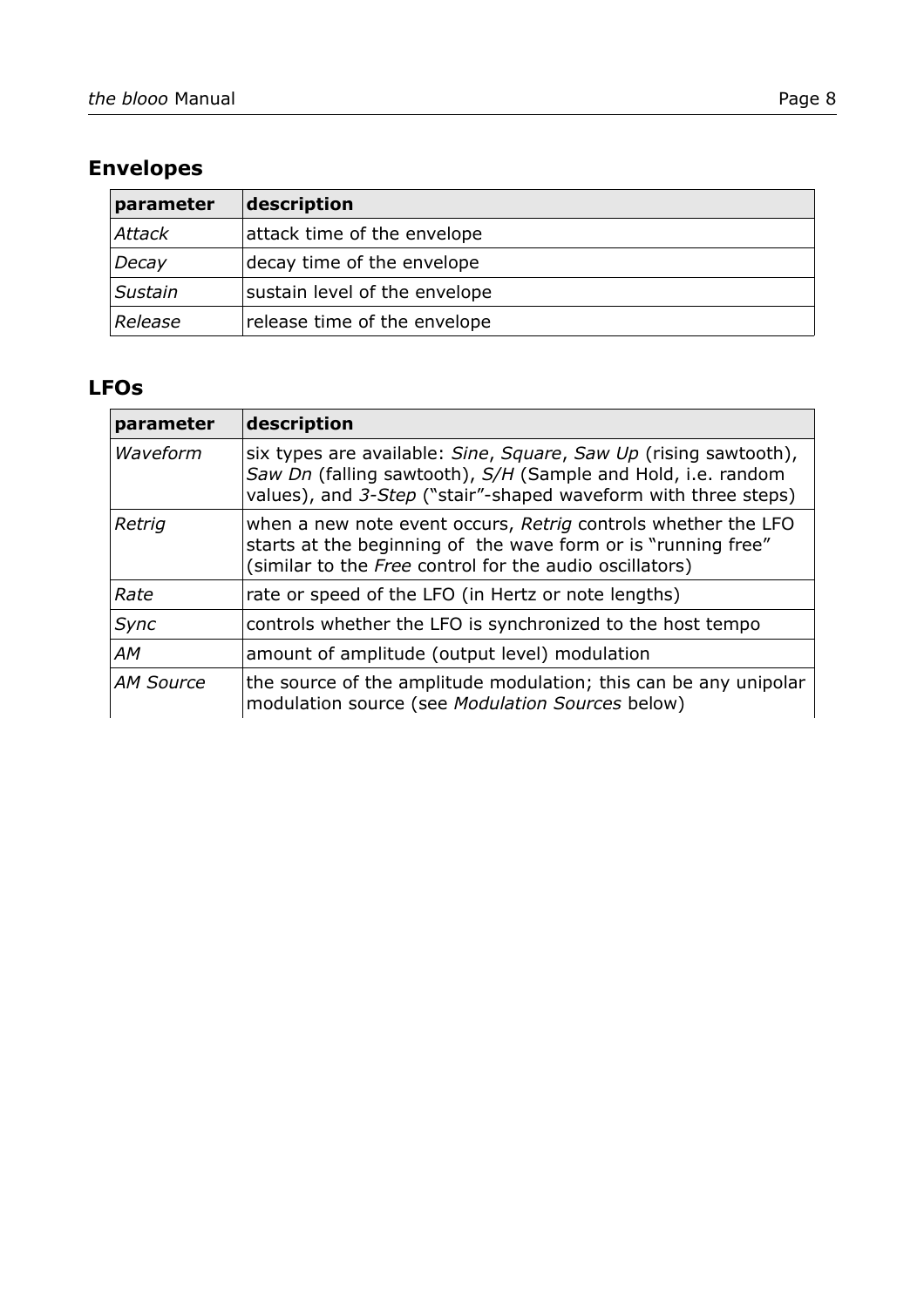## **Envelopes**

| parameter     | description                   |
|---------------|-------------------------------|
| <b>Attack</b> | attack time of the envelope   |
| Decay         | decay time of the envelope    |
| Sustain       | sustain level of the envelope |
| Release       | release time of the envelope  |

### **LFOs**

| parameter | description                                                                                                                                                                                        |
|-----------|----------------------------------------------------------------------------------------------------------------------------------------------------------------------------------------------------|
| Waveform  | six types are available: Sine, Square, Saw Up (rising sawtooth),<br>Saw Dn (falling sawtooth), S/H (Sample and Hold, i.e. random<br>values), and 3-Step ("stair"-shaped waveform with three steps) |
| Retrig    | when a new note event occurs, Retrig controls whether the LFO<br>starts at the beginning of the wave form or is "running free"<br>(similar to the Free control for the audio oscillators)          |
| Rate      | rate or speed of the LFO (in Hertz or note lengths)                                                                                                                                                |
| Sync      | controls whether the LFO is synchronized to the host tempo                                                                                                                                         |
| AМ        | amount of amplitude (output level) modulation                                                                                                                                                      |
| AM Source | the source of the amplitude modulation; this can be any unipolar<br>modulation source (see Modulation Sources below)                                                                               |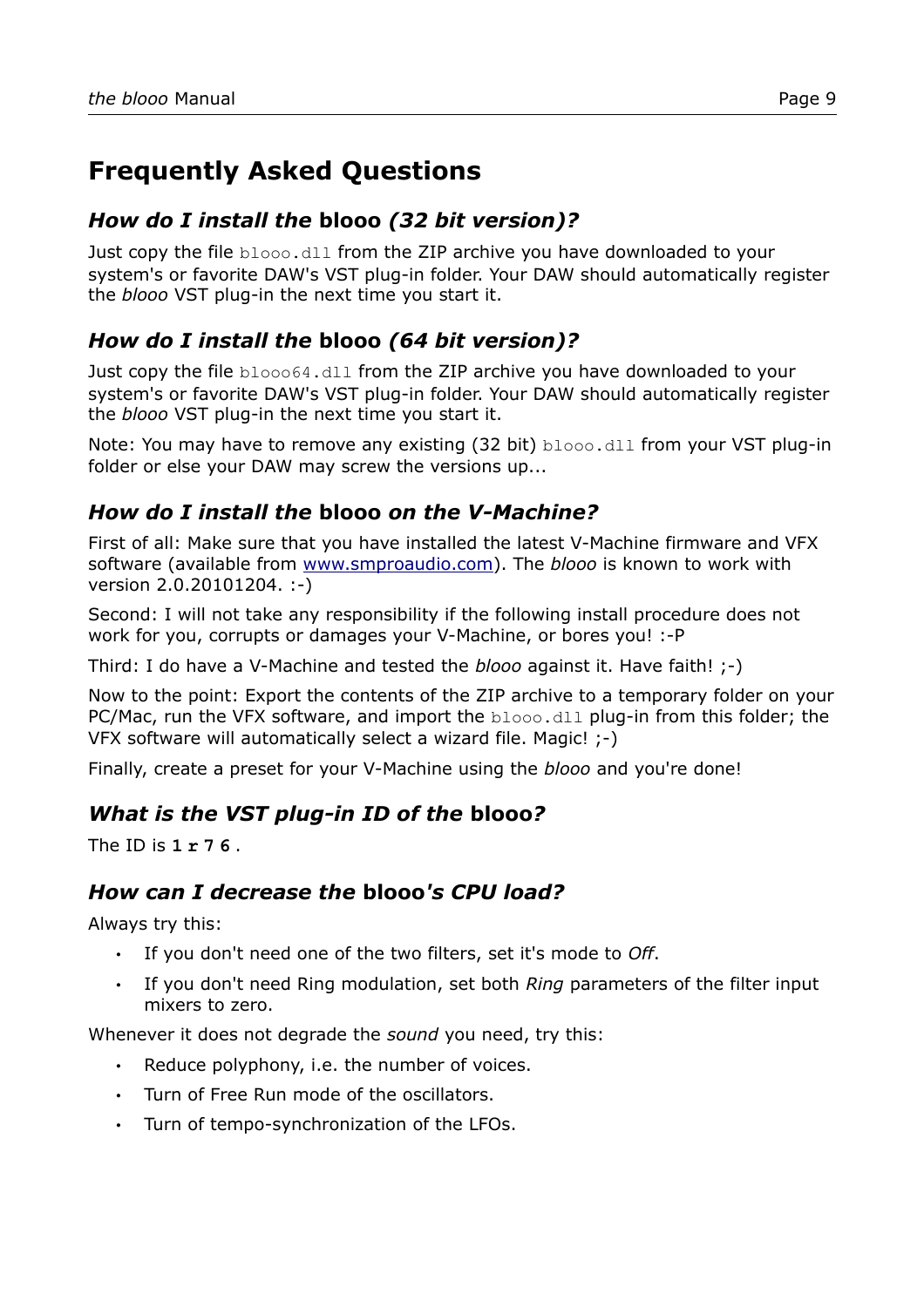# **Frequently Asked Questions**

#### *How do I install the* **blooo** *(32 bit version)?*

Just copy the file blooo.dll from the ZIP archive you have downloaded to your system's or favorite DAW's VST plug-in folder. Your DAW should automatically register the *blooo* VST plug-in the next time you start it.

#### *How do I install the* **blooo** *(64 bit version)?*

Just copy the file blooo64.dll from the ZIP archive you have downloaded to your system's or favorite DAW's VST plug-in folder. Your DAW should automatically register the *blooo* VST plug-in the next time you start it.

Note: You may have to remove any existing (32 bit) blooo.dll from your VST plug-in folder or else your DAW may screw the versions up...

#### *How do I install the* **blooo** *on the V-Machine?*

First of all: Make sure that you have installed the latest V-Machine firmware and VFX software (available from [www.smproaudio.com\)](http://www.smproaudio.com/). The *blooo* is known to work with version 2.0.20101204. :-)

Second: I will not take any responsibility if the following install procedure does not work for you, corrupts or damages your V-Machine, or bores you! :-P

Third: I do have a V-Machine and tested the *blooo* against it. Have faith! ;-)

Now to the point: Export the contents of the ZIP archive to a temporary folder on your PC/Mac, run the VFX software, and import the blooo.dll plug-in from this folder; the VFX software will automatically select a wizard file. Magic! ;-)

Finally, create a preset for your V-Machine using the *blooo* and you're done!

#### *What is the VST plug-in ID of the* **blooo***?*

The ID is **1 r 7 6** .

#### *How can I decrease the* **blooo***'s CPU load?*

Always try this:

- If you don't need one of the two filters, set it's mode to *Off*.
- If you don't need Ring modulation, set both *Ring* parameters of the filter input mixers to zero.

Whenever it does not degrade the *sound* you need, try this:

- Reduce polyphony, i.e. the number of voices.
- Turn of Free Run mode of the oscillators.
- Turn of tempo-synchronization of the LFOs.